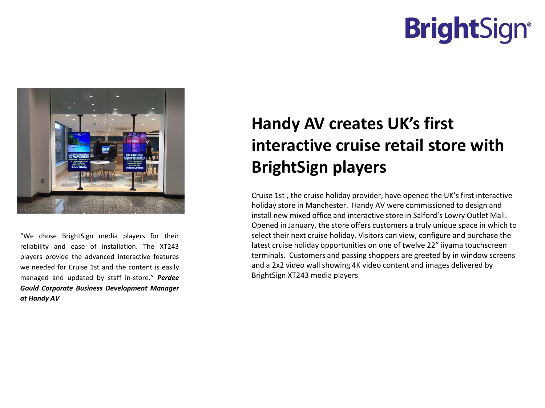## **BrightSign®**



"We chose BrightSign media players for their reliability and ease of installation. The XT243 players provide the advanced interactive features we needed for Cruise 1st and the content is easily managed and updated by staff in-store." *Perdee Gould Corporate Business Development Manager at Handy AV*

## **Handy AV creates UK's first interactive cruise retail store with BrightSign players**

Cruise 1st , the cruise holiday provider, have opened the UK's first interactive holiday store in Manchester. Handy AV were commissioned to design and install new mixed office and interactive store in Salford's Lowry Outlet Mall. Opened in January, the store offers customers a truly unique space in which to select their next cruise holiday. Visitors can view, configure and purchase the latest cruise holiday opportunities on one of twelve 22" iiyama touchscreen terminals. Customers and passing shoppers are greeted by in window screens and a 2x2 video wall showing 4K video content and images delivered by BrightSign XT243 media players